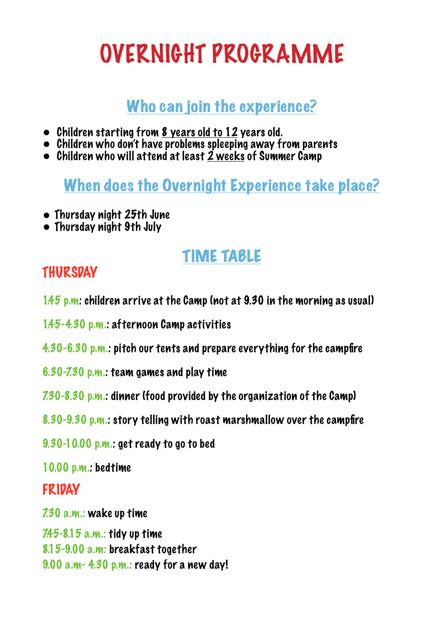# OVERNIGHT PROGRAMME

## Who can join the experience?

- Children starting from 8 years old to 12 years old.
- Children who don't have problems spleeping away from parents
- Children who will attend at least 2 weeks of Summer Camp

When does the Overnight Experience take place?

- Thursday night 25th June
- Thursday night 9th July

# TIME TABLE

#### **THURSDAY**

1.45 p.m: children arrive at the Camp (not at 9.30 in the morning as usual)

1.45-4.30 p.m.: afternoon Camp activities

4.30-6.30 p.m.: pitch our tents and prepare everything for the campfire

- 6.30-7.30 p.m.: team games and play time
- 7.30-8.30 p.m.: dinner (food provided by the organization of the Camp)
- 8.30-9.30 p.m.: story telling with roast marshmallow over the campfire
- 9.30-10.00 p.m.: get ready to go to bed

10.00 p.m.: bedtime

#### FRIDAY

7.30 a.m.: wake up time

7.45-8.15 a.m.: tidy up time 8.15-9.00 a.m: breakfast together 9.00 a.m- 4.30 p.m.: ready for a new day!